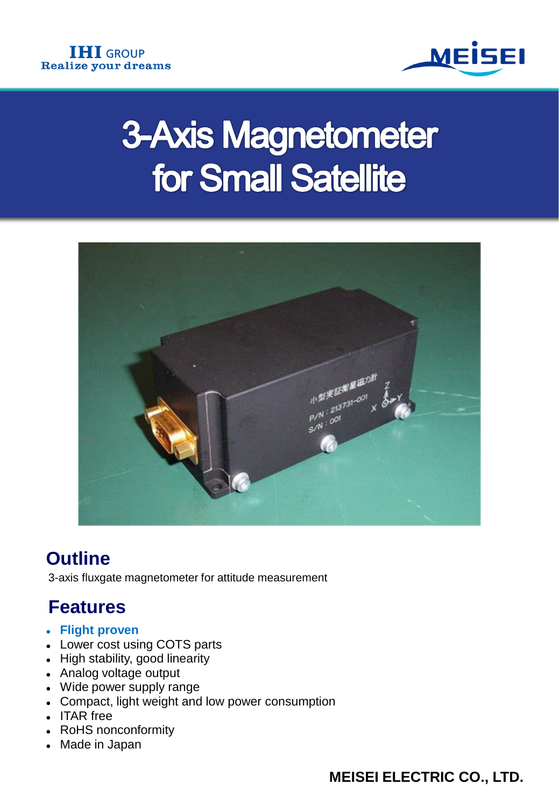

# **3-Axis Magnetometer** for Small Satellite



## **Outline**

3-axis fluxgate magnetometer for attitude measurement

## **Features**

- **Flight proven**
- Lower cost using COTS parts
- High stability, good linearity
- Analog voltage output
- Wide power supply range
- Compact, light weight and low power consumption
- ITAR free
- RoHS nonconformity
- Made in Japan

**MEISEI ELECTRIC CO., LTD.**